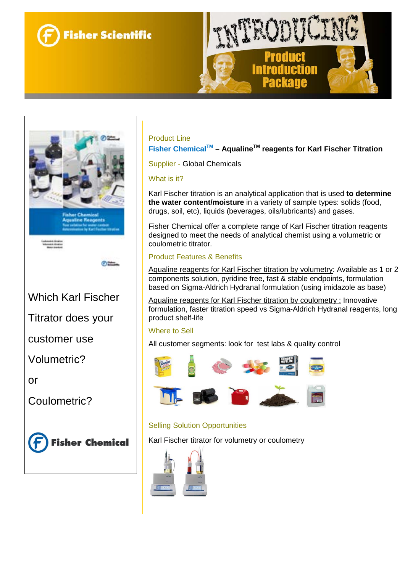



Which Karl Fischer

Titrator does your

customer use

Volumetric?

or

Coulometric?



### Product Line

**Fisher ChemicalTM – AqualineTM reagents for Karl Fischer Titration**

Supplier - Global Chemicals

### What is it?

Karl Fischer titration is an analytical application that is used **to determine the water content/moisture** in a variety of sample types: solids (food, drugs, soil, etc), liquids (beverages, oils/lubricants) and gases.

Fisher Chemical offer a complete range of Karl Fischer titration reagents designed to meet the needs of analytical chemist using a volumetric or coulometric titrator.

### Product Features & Benefits

Aqualine reagents for Karl Fischer titration by volumetry: Available as 1 or 2 components solution, pyridine free, fast & stable endpoints, formulation based on Sigma-Aldrich Hydranal formulation (using imidazole as base)

Aqualine reagents for Karl Fischer titration by coulometry : Innovative formulation, faster titration speed vs Sigma-Aldrich Hydranal reagents, long product shelf-life

# Where to Sell

All customer segments: look for test labs & quality control



# Selling Solution Opportunities

Karl Fischer titrator for volumetry or coulometry